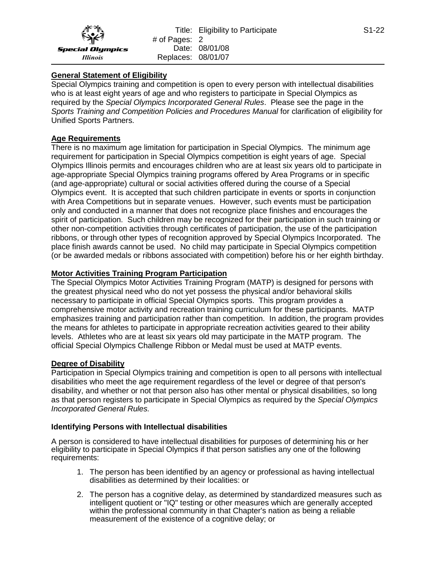# **General Statement of Eligibility**

Special Olympics training and competition is open to every person with intellectual disabilities who is at least eight years of age and who registers to participate in Special Olympics as required by the *Special Olympics Incorporated General Rules*. Please see the page in the *Sports Training and Competition Policies and Procedures Manual* for clarification of eligibility for Unified Sports Partners.

# **Age Requirements**

There is no maximum age limitation for participation in Special Olympics. The minimum age requirement for participation in Special Olympics competition is eight years of age. Special Olympics Illinois permits and encourages children who are at least six years old to participate in age-appropriate Special Olympics training programs offered by Area Programs or in specific (and age-appropriate) cultural or social activities offered during the course of a Special Olympics event. It is accepted that such children participate in events or sports in conjunction with Area Competitions but in separate venues. However, such events must be participation only and conducted in a manner that does not recognize place finishes and encourages the spirit of participation. Such children may be recognized for their participation in such training or other non-competition activities through certificates of participation, the use of the participation ribbons, or through other types of recognition approved by Special Olympics Incorporated. The place finish awards cannot be used. No child may participate in Special Olympics competition (or be awarded medals or ribbons associated with competition) before his or her eighth birthday.

### **Motor Activities Training Program Participation**

The Special Olympics Motor Activities Training Program (MATP) is designed for persons with the greatest physical need who do not yet possess the physical and/or behavioral skills necessary to participate in official Special Olympics sports. This program provides a comprehensive motor activity and recreation training curriculum for these participants. MATP emphasizes training and participation rather than competition. In addition, the program provides the means for athletes to participate in appropriate recreation activities geared to their ability levels. Athletes who are at least six years old may participate in the MATP program. The official Special Olympics Challenge Ribbon or Medal must be used at MATP events.

### **Degree of Disability**

Participation in Special Olympics training and competition is open to all persons with intellectual disabilities who meet the age requirement regardless of the level or degree of that person's disability, and whether or not that person also has other mental or physical disabilities, so long as that person registers to participate in Special Olympics as required by the *Special Olympics Incorporated General Rules.*

### **Identifying Persons with Intellectual disabilities**

A person is considered to have intellectual disabilities for purposes of determining his or her eligibility to participate in Special Olympics if that person satisfies any one of the following requirements:

- 1. The person has been identified by an agency or professional as having intellectual disabilities as determined by their localities: or
- 2. The person has a cognitive delay, as determined by standardized measures such as intelligent quotient or "IQ" testing or other measures which are generally accepted within the professional community in that Chapter's nation as being a reliable measurement of the existence of a cognitive delay; or